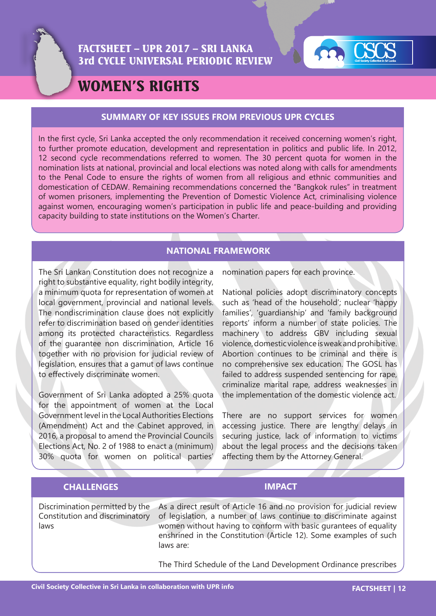



# WOMEN'S RIGHTS

### **SUMMARY OF KEY ISSUES FROM PREVIOUS UPR CYCLES**

In the first cycle, Sri Lanka accepted the only recommendation it received concerning women's right, to further promote education, development and representation in politics and public life. In 2012, 12 second cycle recommendations referred to women. The 30 percent quota for women in the nomination lists at national, provincial and local elections was noted along with calls for amendments to the Penal Code to ensure the rights of women from all religious and ethnic communities and domestication of CEDAW. Remaining recommendations concerned the "Bangkok rules" in treatment of women prisoners, implementing the Prevention of Domestic Violence Act, criminalising violence against women, encouraging women's participation in public life and peace-building and providing capacity building to state institutions on the Women's Charter.

### **NATIONAL FRAMEWORK**

The Sri Lankan Constitution does not recognize a right to substantive equality, right bodily integrity, a minimum quota for representation of women at local government, provincial and national levels. The nondiscrimination clause does not explicitly refer to discrimination based on gender identities among its protected characteristics. Regardless of the guarantee non discrimination, Article 16 together with no provision for judicial review of legislation, ensures that a gamut of laws continue to effectively discriminate women.

Government of Sri Lanka adopted a 25% quota for the appointment of women at the Local Government level in the Local Authorities Elections (Amendment) Act and the Cabinet approved, in 2016, a proposal to amend the Provincial Councils Elections Act, No. 2 of 1988 to enact a (minimum) 30% quota for women on political parties' nomination papers for each province.

National policies adopt discriminatory concepts such as 'head of the household'; nuclear 'happy families', 'guardianship' and 'family background reports' inform a number of state policies. The machinery to address GBV including sexual violence, domestic violence is weak and prohibitive. Abortion continues to be criminal and there is no comprehensive sex education. The GOSL has failed to address suspended sentencing for rape, criminalize marital rape, address weaknesses in the implementation of the domestic violence act.

There are no support services for women accessing justice. There are lengthy delays in securing justice, lack of information to victims about the legal process and the decisions taken affecting them by the Attorney General.

### **CHALLENGES IMPACT**

Discrimination permitted by the Constitution and discriminatory laws

As a direct result of Article 16 and no provision for judicial review of legislation, a number of laws continue to discriminate against women without having to conform with basic gurantees of equality enshrined in the Constitution (Article 12). Some examples of such laws are:

The Third Schedule of the Land Development Ordinance prescribes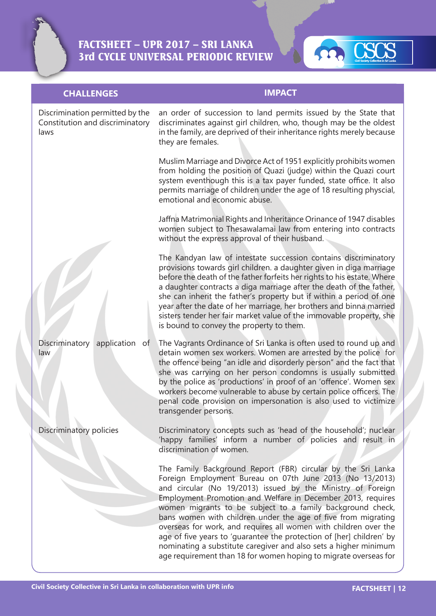



### **CHALLENGES IMPACT**

Discrimination permitted by the Constitution and discriminatory laws Discriminatory application of law Discriminatory policies an order of succession to land permits issued by the State that discriminates against girl children, who, though may be the oldest in the family, are deprived of their inheritance rights merely because they are females. Muslim Marriage and Divorce Act of 1951 explicitly prohibits women from holding the position of Quazi (judge) within the Quazi court system eventhough this is a tax payer funded, state office. It also permits marriage of children under the age of 18 resulting physcial, emotional and economic abuse. Jaffna Matrimonial Rights and Inheritance Orinance of 1947 disables women subject to Thesawalamai law from entering into contracts without the express approval of their husband. The Kandyan law of intestate succession contains discriminatory provisions towards girl children. a daughter given in diga marriage before the death of the father forfeits her rights to his estate. Where a daughter contracts a diga marriage after the death of the father, she can inherit the father's property but if within a period of one year after the date of her marriage, her brothers and binna married sisters tender her fair market value of the immovable property, she is bound to convey the property to them. The Vagrants Ordinance of Sri Lanka is often used to round up and detain women sex workers. Women are arrested by the police for the offence being "an idle and disorderly person" and the fact that she was carrying on her person condomns is usually submitted by the police as 'productions' in proof of an 'offence'. Women sex workers become vulnerable to abuse by certain police officers. The penal code provision on impersonation is also used to victimize transgender persons. Discriminatory concepts such as 'head of the household'; nuclear 'happy families' inform a number of policies and result in discrimination of women. The Family Background Report (FBR) circular by the Sri Lanka Foreign Employment Bureau on 07th June 2013 (No 13/2013) and circular (No 19/2013) issued by the Ministry of Foreign Employment Promotion and Welfare in December 2013, requires women migrants to be subject to a family background check, bans women with children under the age of five from migrating overseas for work, and requires all women with children over the age of five years to 'guarantee the protection of [her] children' by nominating a substitute caregiver and also sets a higher minimum age requirement than 18 for women hoping to migrate overseas for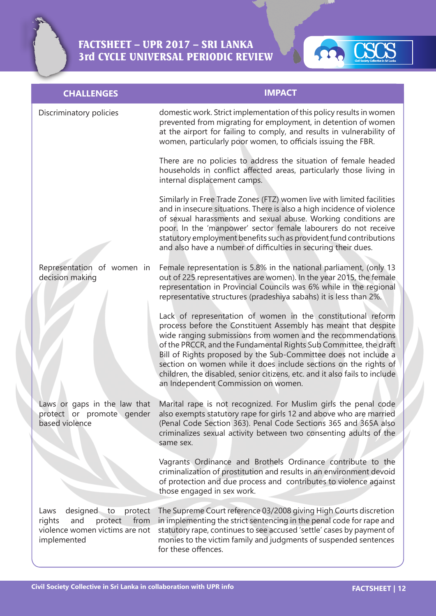

| <b>CHALLENGES</b>                                                                                                      | <b>IMPACT</b>                                                                                                                                                                                                                                                                                                                                                                                                                                                                                                                  |
|------------------------------------------------------------------------------------------------------------------------|--------------------------------------------------------------------------------------------------------------------------------------------------------------------------------------------------------------------------------------------------------------------------------------------------------------------------------------------------------------------------------------------------------------------------------------------------------------------------------------------------------------------------------|
| Discriminatory policies                                                                                                | domestic work. Strict implementation of this policy results in women<br>prevented from migrating for employment, in detention of women<br>at the airport for failing to comply, and results in vulnerability of<br>women, particularly poor women, to officials issuing the FBR.                                                                                                                                                                                                                                               |
|                                                                                                                        | There are no policies to address the situation of female headed<br>households in conflict affected areas, particularly those living in<br>internal displacement camps.                                                                                                                                                                                                                                                                                                                                                         |
|                                                                                                                        | Similarly in Free Trade Zones (FTZ) women live with limited facilities<br>and in insecure situations. There is also a high incidence of violence<br>of sexual harassments and sexual abuse. Working conditions are<br>poor. In the 'manpower' sector female labourers do not receive<br>statutory employment benefits such as provident fund contributions<br>and also have a number of difficulties in securing their dues.                                                                                                   |
| Representation of women in<br>decision making                                                                          | Female representation is 5.8% in the national parliament, (only 13<br>out of 225 representatives are women). In the year 2015, the female<br>representation in Provincial Councils was 6% while in the regional<br>representative structures (pradeshiya sabahs) it is less than 2%.                                                                                                                                                                                                                                           |
|                                                                                                                        | Lack of representation of women in the constitutional reform<br>process before the Constituent Assembly has meant that despite<br>wide ranging submissions from women and the recommendations<br>of the PRCCR, and the Fundamental Rights Sub Committee, the draft<br>Bill of Rights proposed by the Sub-Committee does not include a<br>section on women while it does include sections on the rights of<br>children, the disabled, senior citizens, etc. and it also fails to include<br>an Independent Commission on women. |
| Laws or gaps in the law that<br>protect or promote gender<br>based violence                                            | Marital rape is not recognized. For Muslim girls the penal code<br>also exempts statutory rape for girls 12 and above who are married<br>(Penal Code Section 363). Penal Code Sections 365 and 365A also<br>criminalizes sexual activity between two consenting adults of the<br>same sex.                                                                                                                                                                                                                                     |
|                                                                                                                        | Vagrants Ordinance and Brothels Ordinance contribute to the<br>criminalization of prostitution and results in an environment devoid<br>of protection and due process and contributes to violence against<br>those engaged in sex work.                                                                                                                                                                                                                                                                                         |
| designed<br>Laws<br>protect<br>to<br>from<br>rights<br>and<br>protect<br>violence women victims are not<br>implemented | The Supreme Court reference 03/2008 giving High Courts discretion<br>in implementing the strict sentencing in the penal code for rape and<br>statutory rape, continues to see accused 'settle' cases by payment of<br>monies to the victim family and judgments of suspended sentences<br>for these offences.                                                                                                                                                                                                                  |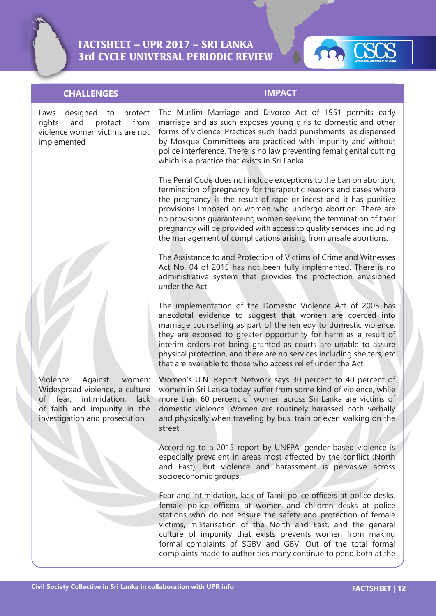

### **CHALLENGES IMPACT**

Laws designed to protect rights and protect from violence women victims are not implemented

The Muslim Marriage and Divorce Act of 1951 permits early marriage and as such exposes young girls to domestic and other forms of violence. Practices such 'hadd punishments' as dispensed by Mosque Committees are practiced with impunity and without police interference. There is no law preventing femal genital cutting which is a practice that exists in Sri Lanka.

The Penal Code does not include exceptions to the ban on abortion, termination of pregnancy for therapeutic reasons and cases where the pregnancy is the result of rape or incest and it has punitive provisions imposed on women who undergo abortion. There are no provisions guaranteeing women seeking the termination of their pregnancy will be provided with access to quality services, including the management of complications arising from unsafe abortions.

The Assistance to and Protection of Victims of Crime and Witnesses Act No. 04 of 2015 has not been fully implemented. There is no administrative system that provides the proctection envisioned under the Act.

The implementation of the Domestic Violence Act of 2005 has anecdotal evidence to suggest that women are coerced into marriage counselling as part of the remedy to domestic violence, they are exposed to greater opportunity for harm as a result of interim orders not being granted as courts are unable to assure physical protection, and there are no services including shelters, etc that are available to those who access relief under the Act.

Women's U.N. Report Network says 30 percent to 40 percent of women in Sri Lanka today suffer from some kind of violence, while more than 60 percent of women across Sri Lanka are victims of domestic violence. Women are routinely harassed both verbally and physically when traveling by bus, train or even walking on the street.

According to a 2015 report by UNFPA, gender-based violence is especially prevalent in areas most affected by the conflict (North and East), but violence and harassment is pervasive across socioeconomic groups.

Fear and intimidation, lack of Tamil police officers at police desks, female police officers at women and children desks at police stations who do not ensure the safety and protection of female victims, militarisation of the North and East, and the general culture of impunity that exists prevents women from making formal complaints of SGBV and GBV. Out of the total formal complaints made to authorities many continue to pend both at the

Violence Against women: Widespread violence, a culture of fear, intimidation, lack of faith and impunity in the investigation and prosecution.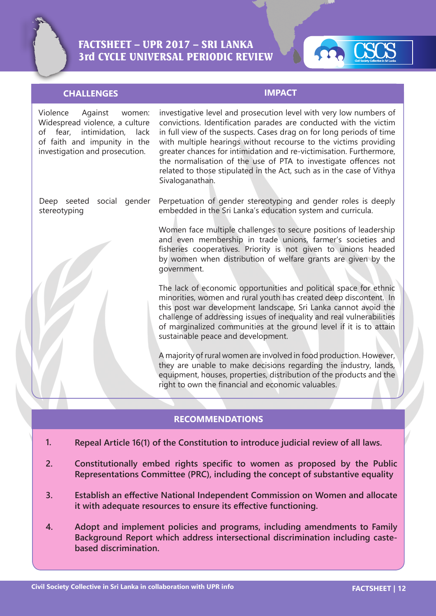



### **CHALLENGES IMPACT**

Violence Against women: Widespread violence, a culture of fear, intimidation, lack of faith and impunity in the investigation and prosecution. Deep seeted social gender stereotyping Perpetuation of gender stereotyping and gender roles is deeply embedded in the Sri Lanka's education system and curricula. Women face multiple challenges to secure positions of leadership and even membership in trade unions, farmer's societies and fisheries cooperatives. Priority is not given to unions headed by women when distribution of welfare grants are given by the government. The lack of economic opportunities and political space for ethnic minorities, women and rural youth has created deep discontent. In this post war development landscape, Sri Lanka cannot avoid the challenge of addressing issues of inequality and real vulnerabilities of marginalized communities at the ground level if it is to attain sustainable peace and development. A majority of rural women are involved in food production. However, they are unable to make decisions regarding the industry, lands, equipment, houses, properties, distribution of the products and the right to own the financial and economic valuables. investigative level and prosecution level with very low numbers of convictions. Identification parades are conducted with the victim in full view of the suspects. Cases drag on for long periods of time with multiple hearings without recourse to the victims providing greater chances for intimidation and re-victimisation. Furthermore, the normalisation of the use of PTA to investigate offences not related to those stipulated in the Act, such as in the case of Vithya Sivaloganathan.

### **RECOMMENDATIONS**

- **Repeal Article 16(1) of the Constitution to introduce judicial review of all laws. 1.**
- **Constitutionally embed rights specific to women as proposed by the Public Representations Committee (PRC), including the concept of substantive equality 2.**
- **Establish an effective National Independent Commission on Women and allocate it with adequate resources to ensure its effective functioning. 3.**
- **Adopt and implement policies and programs, including amendments to Family Background Report which address intersectional discrimination including castebased discrimination. 4.**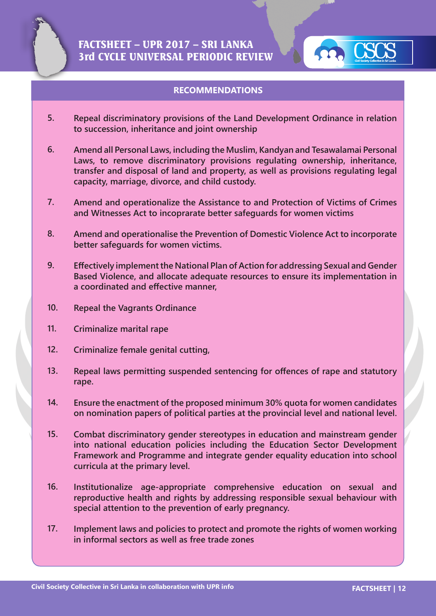



### **RECOMMENDATIONS**

- **5. Repeal discriminatory provisions of the Land Development Ordinance in relation to succession, inheritance and joint ownership**
- **6. Amend all Personal Laws, including the Muslim, Kandyan and Tesawalamai Personal Laws, to remove discriminatory provisions regulating ownership, inheritance, transfer and disposal of land and property, as well as provisions regulating legal capacity, marriage, divorce, and child custody.**
- **7. Amend and operationalize the Assistance to and Protection of Victims of Crimes and Witnesses Act to incoprarate better safeguards for women victims**
- **8. Amend and operationalise the Prevention of Domestic Violence Act to incorporate better safeguards for women victims.**
- **9. Effectively implement the National Plan of Action for addressing Sexual and Gender Based Violence, and allocate adequate resources to ensure its implementation in a coordinated and effective manner,**
- **10. Repeal the Vagrants Ordinance**
- **11. Criminalize marital rape**
- **12. Criminalize female genital cutting,**
- **13. Repeal laws permitting suspended sentencing for offences of rape and statutory rape.**
- **14. Ensure the enactment of the proposed minimum 30% quota for women candidates on nomination papers of political parties at the provincial level and national level.**
- **15. Combat discriminatory gender stereotypes in education and mainstream gender into national education policies including the Education Sector Development Framework and Programme and integrate gender equality education into school curricula at the primary level.**
- **16. Institutionalize age-appropriate comprehensive education on sexual and reproductive health and rights by addressing responsible sexual behaviour with special attention to the prevention of early pregnancy.**
- **17. Implement laws and policies to protect and promote the rights of women working in informal sectors as well as free trade zones**